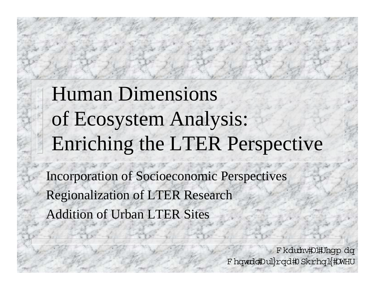# **Human Dimensions** of Ecosystem Analysis: Enriching the LTER Perspective

**Incorporation of Socioeconomic Perspectives Regionalization of LTER Research Addition of Urban LTER Sites** 

> F kdubv#D#Jhgp dq F hqwddDul}rqd#0 Skrhql{#0WHU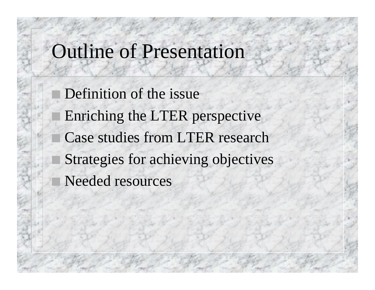### Outline of Presentation

 Definition of the issue Enriching the LTER perspective Case studies from LTER research Strategies for achieving objectives Needed resources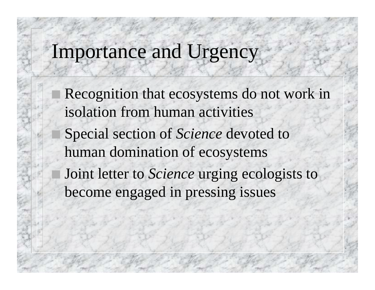## Importance and Urgency

 Recognition that ecosystems do not work in isolation from human activities Special section of *Science* devoted to human domination of ecosystems Joint letter to *Science* urging ecologists to become engaged in pressing issues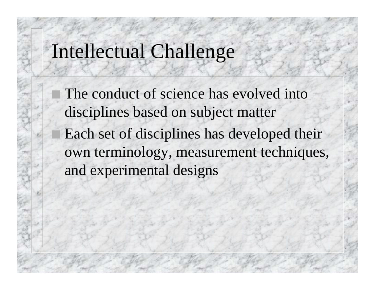### Intellectual Challenge

 The conduct of science has evolved into disciplines based on subject matter Each set of disciplines has developed their own terminology, measurement techniques, and experimental designs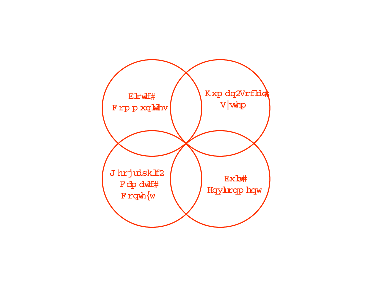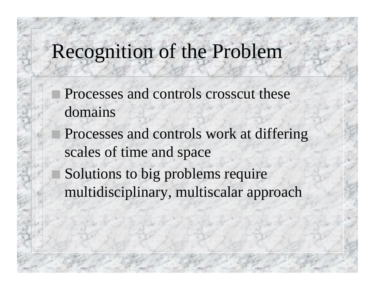## Recognition of the Problem

- Processes and controls crosscut these domains
- Processes and controls work at differing scales of time and space
- Solutions to big problems require multidisciplinary, multiscalar approach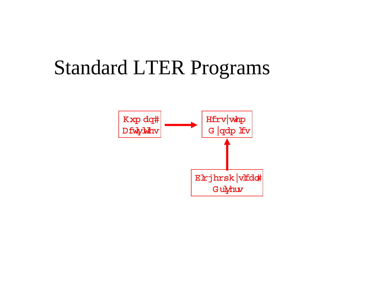## **Standard LTER Programs**

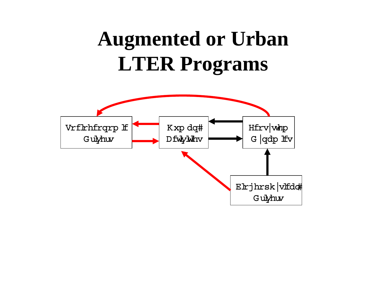# **Augmented or Urban LTER Programs**

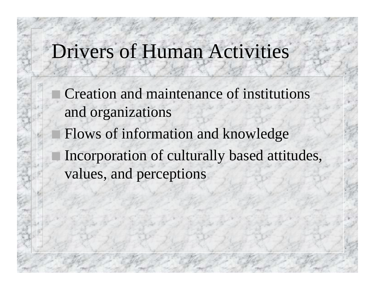## Drivers of Human Activities

 Creation and maintenance of institutions and organizations Flows of information and knowledge Incorporation of culturally based attitudes, values, and perceptions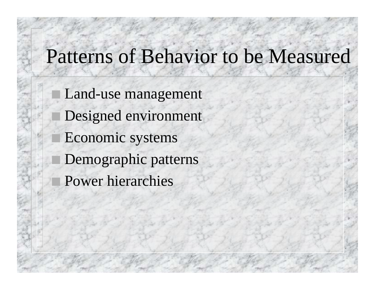## Patterns of Behavior to be Measured

 Land-use management Designed environment Economic systems Demographic patterns Power hierarchies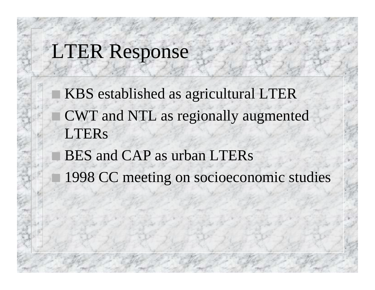## LTER Response

 KBS established as agricultural LTER CWT and NTL as regionally augmented **LTERs** 

 BES and CAP as urban LTERs 1998 CC meeting on socioeconomic studies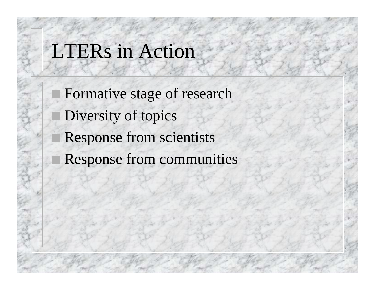## LTERs in Action

 Formative stage of research Diversity of topics Response from scientists Response from communities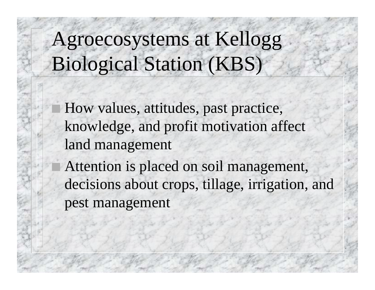Agroecosystems at Kellogg Biological Station (KBS)

 How values, attitudes, past practice, knowledge, and profit motivation affect land management

 Attention is placed on soil management, decisions about crops, tillage, irrigation, and pest management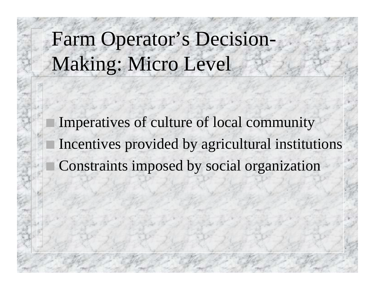Farm Operator's Decision-Making: Micro Level

 Imperatives of culture of local community Incentives provided by agricultural institutions Constraints imposed by social organization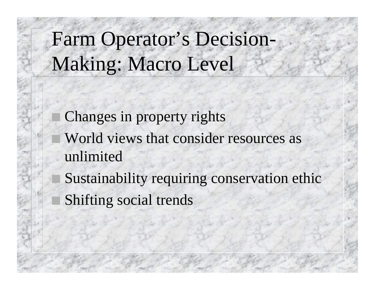Farm Operator's Decision-Making: Macro Level

 Changes in property rights World views that consider resources as unlimited

 Sustainability requiring conservation ethic Shifting social trends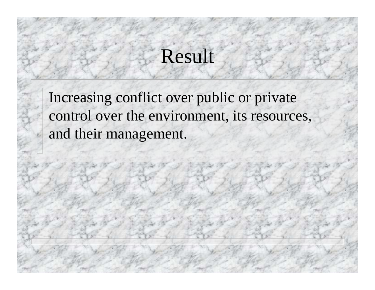## Result

Increasing conflict over public or private control over the environment, its resources, and their management.

ó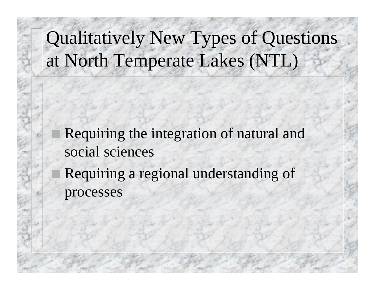## Qualitatively New Types of Questions at North Temperate Lakes (NTL)

 Requiring the integration of natural and social sciences Requiring a regional understanding of processes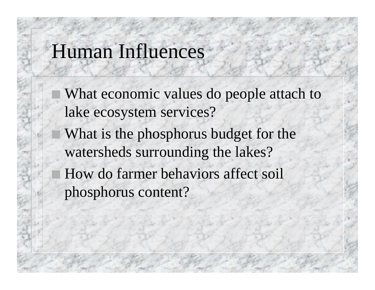#### Human Influences

 What economic values do people attach to lake ecosystem services? What is the phosphorus budget for the watersheds surrounding the lakes? How do farmer behaviors affect soil phosphorus content?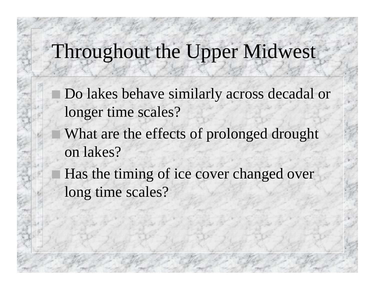## Throughout the Upper Midwest

- Do lakes behave similarly across decadal or longer time scales?
- What are the effects of prolonged drought on lakes?
- Has the timing of ice cover changed over long time scales?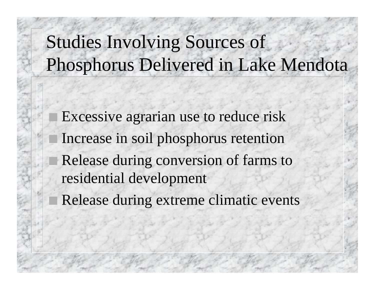## Studies Involving Sources of Phosphorus Delivered in Lake Mendota

 Excessive agrarian use to reduce risk Increase in soil phosphorus retention Release during conversion of farms to residential development Release during extreme climatic events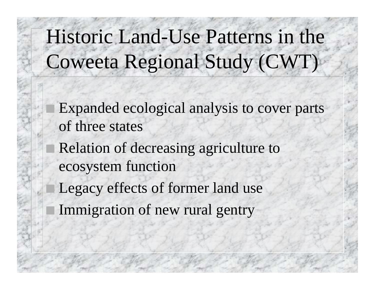# Historic Land-Use Patterns in the Coweeta Regional Study (CWT)

 Expanded ecological analysis to cover parts of three states Relation of decreasing agriculture to ecosystem function Legacy effects of former land use Immigration of new rural gentry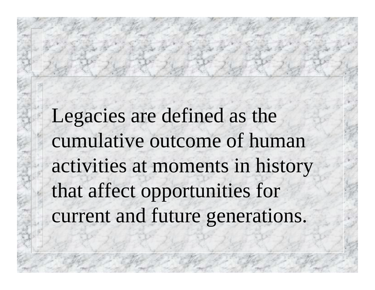Legacies are defined as the cumulative outcome of human activities at moments in history that affect opportunities for current and future generations.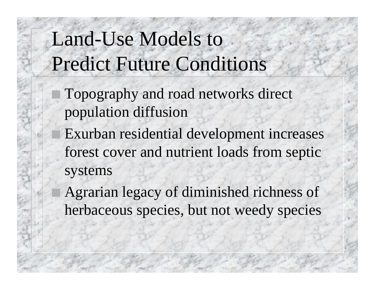## Land-Use Models to Predict Future Conditions

- Topography and road networks direct population diffusion
- Exurban residential development increases forest cover and nutrient loads from septic systems
- Agrarian legacy of diminished richness of herbaceous species, but not weedy species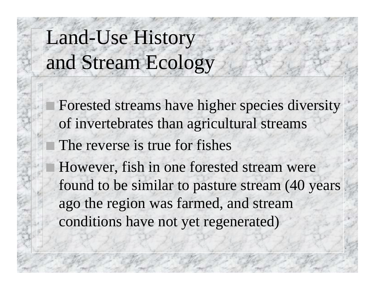# Land-Use History and Stream Ecology

 Forested streams have higher species diversity of invertebrates than agricultural streams The reverse is true for fishes However, fish in one forested stream were found to be similar to pasture stream (40 years ago the region was farmed, and stream conditions have not yet regenerated)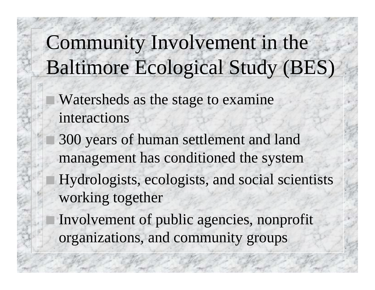# Community Involvement in the Baltimore Ecological Study (BES)

 Watersheds as the stage to examine interactions

 300 years of human settlement and land management has conditioned the system Hydrologists, ecologists, and social scientists working together

 Involvement of public agencies, nonprofit organizations, and community groups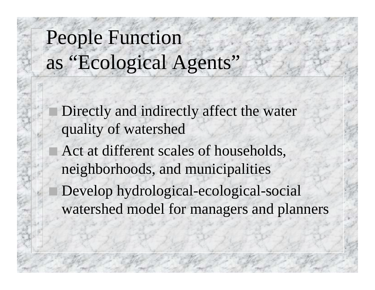# People Function as "Ecological Agents"

 Directly and indirectly affect the water quality of watershed Act at different scales of households, neighborhoods, and municipalities Develop hydrological-ecological-social watershed model for managers and planners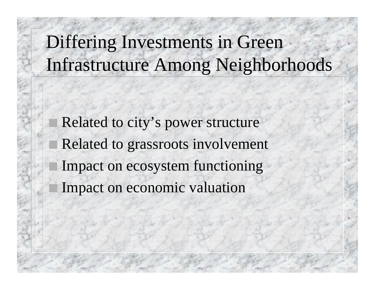## Differing Investments in Green Infrastructure Among Neighborhoods

 Related to city's power structure Related to grassroots involvement Impact on ecosystem functioning Impact on economic valuation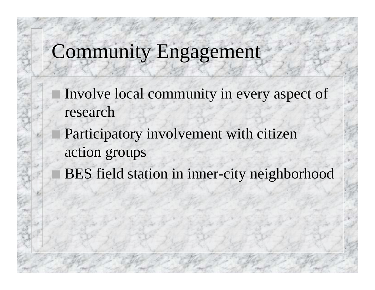## Community Engagement

- Involve local community in every aspect of research
- Participatory involvement with citizen action groups
- BES field station in inner-city neighborhood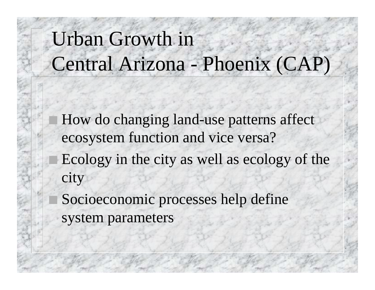# Urban Growth in Central Arizona - Phoenix (CAP)

 How do changing land-use patterns affect ecosystem function and vice versa? Ecology in the city as well as ecology of the city Socioeconomic processes help define

system parameters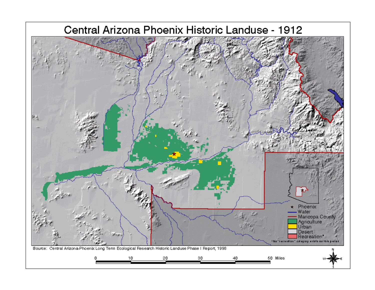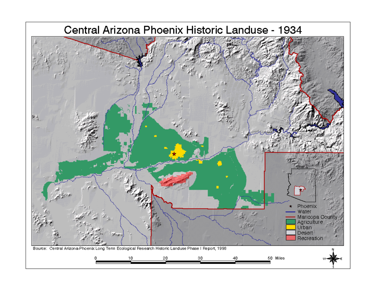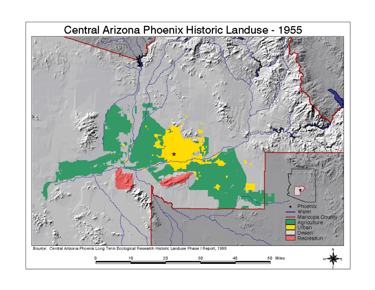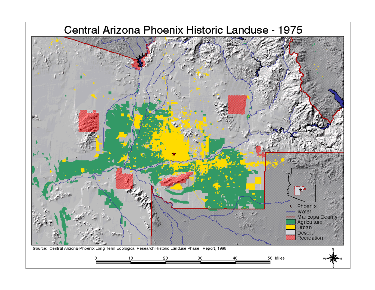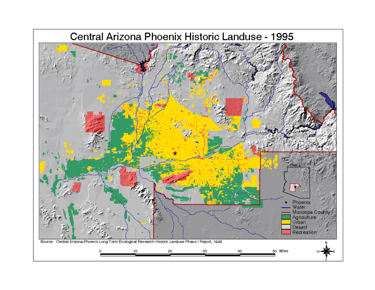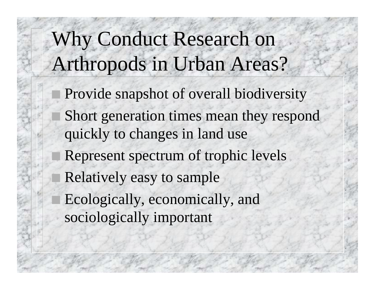# Why Conduct Research on Arthropods in Urban Areas?

 Provide snapshot of overall biodiversity Short generation times mean they respond quickly to changes in land use Represent spectrum of trophic levels Relatively easy to sample Ecologically, economically, and sociologically important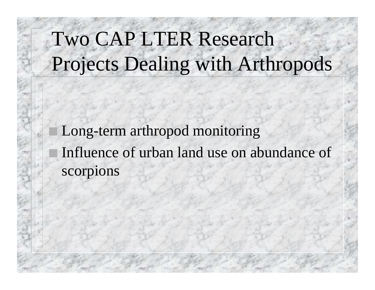# Two CAP LTER Research Projects Dealing with Arthropods

 Long-term arthropod monitoring Influence of urban land use on abundance of scorpions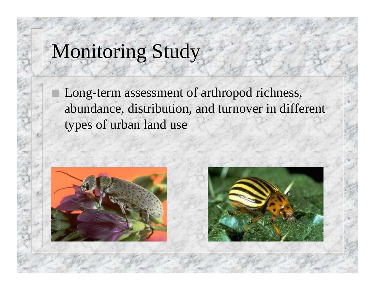## Monitoring Study

 Long-term assessment of arthropod richness, abundance, distribution, and turnover in different types of urban land use



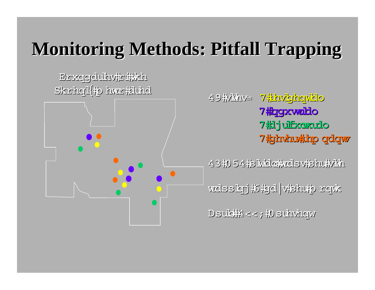## **Monitoring Methods: Pitfall Trapping Monitoring Methods: Pitfall Trapping**

Brxopolulhv#ri##kh Skrhogl{#o hvzr#duhol



49#AMA 7<mark>#hvbjhqvblo</mark> 7 #crgstwablo 7 抱 juifixaxudo 7#ghvhu#hp qdqw

 $43\,$ 10 54  $\sharp$ s k $\mathrm{d}$ cky $\mathrm{c}$ ls v $\sharp$ shu $\sharp$ vkh

 $\frac{1}{2}$  vertex  $\frac{1}{2}$  on the star m on the star mass  $\frac{1}{2}$ 

 $D$ suk $\frac{1}{2} <$ ;  $\frac{1}{2}$ 0 suhvhorw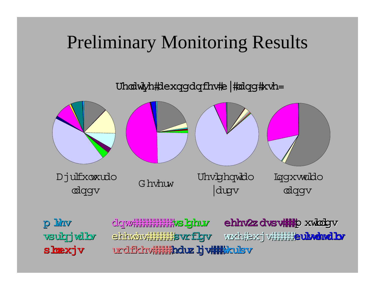#### Preliminary Monitoring Results

Uhodwyh#dexqgdqfhv#e #olqg#xvh=



p linv vsulgj vilbv shexjv

clorwhililililililililililise bjbuw ehhv2z dvsv##pxwdgv ehndrd bristler verker villining umd br urdfkhv**ililik<b>hduz lj vilili**kkulsv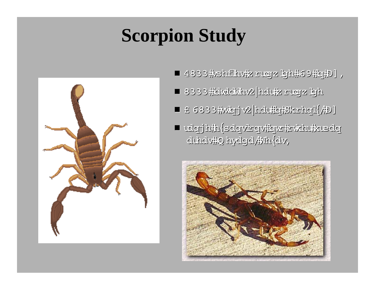## **Scorpion Study**



- 4833 #xshflhv#z rugrz lgh#69#hfiD],
- 8333#dwldwihv2|hdu#zrugz gh
- ~ ~ 3500 stings/year in Phoenix, AZ 3500 stings/year in Phoenix, AZ
- udgjh#n{sdgvirgv#gw#rvkhu#suedg duhdv#Q hydgd/#Mh{dv,

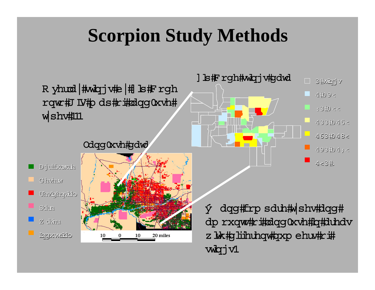## **Scorpion Study Methods**

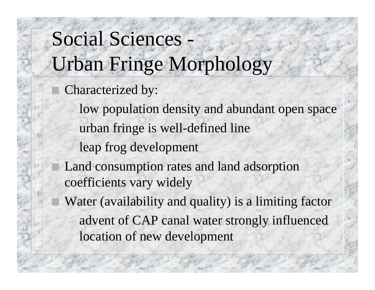# Social Sciences - Urban Fringe Morphology

- Characterized by:
	- low population density and abundant open space
	- urban fringe is well-defined line
	- leap frog development
- Land consumption rates and land adsorption coefficients vary widely
- Water (availability and quality) is a limiting factor
	- advent of CAP canal water strongly influenced location of new development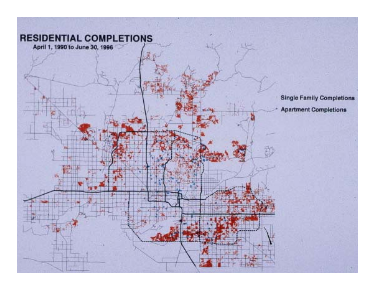#### **RESIDENTIAL COMPLETIONS**

April 1, 1990 to June 30, 1996

翤

森

**Single Family Completions Apartment Completions**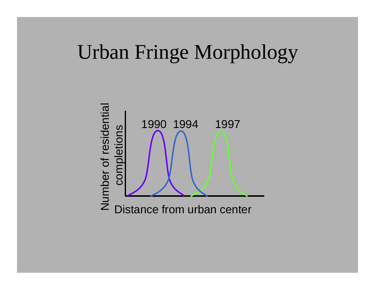## Urban Fringe Morphology

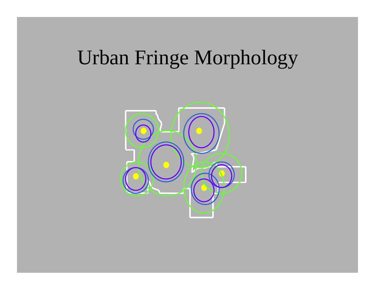## Urban Fringe Morphology

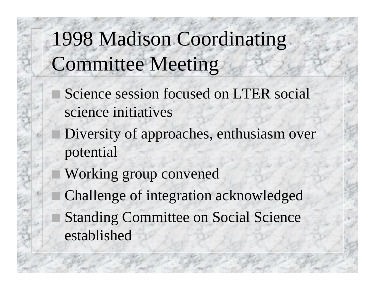1998 Madison Coordinating Committee Meeting

 Science session focused on LTER social science initiatives

 Diversity of approaches, enthusiasm over potential

 Working group convened Challenge of integration acknowledged Standing Committee on Social Science established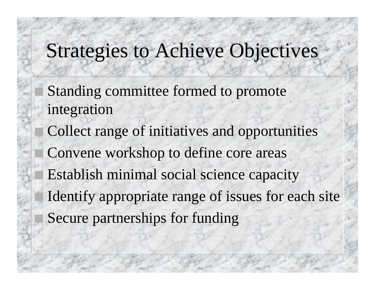## Strategies to Achieve Objectives

 Standing committee formed to promote integration

 Collect range of initiatives and opportunities Convene workshop to define core areas Establish minimal social science capacity Identify appropriate range of issues for each site Secure partnerships for funding